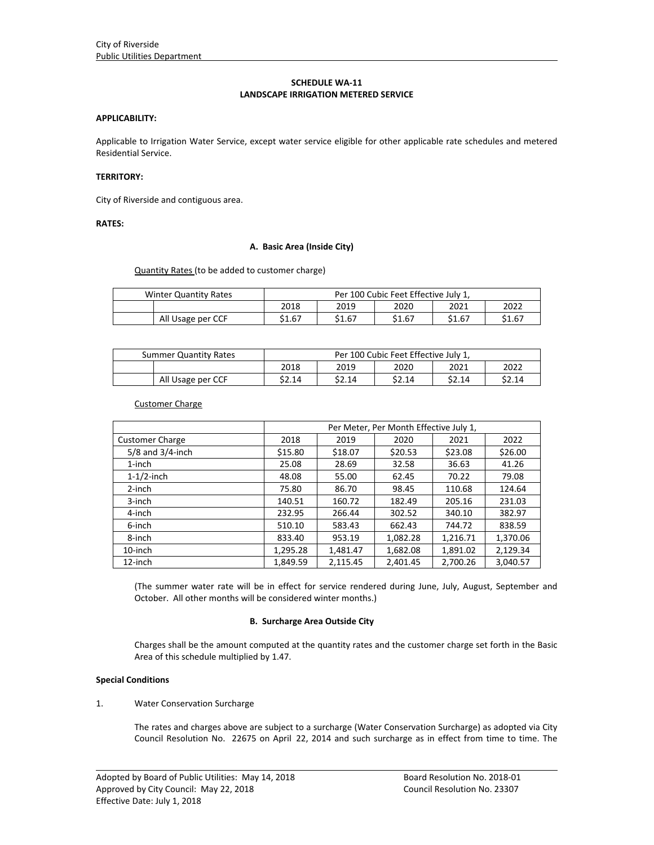# **SCHEDULE WA‐11 LANDSCAPE IRRIGATION METERED SERVICE**

## **APPLICABILITY:**

Applicable to Irrigation Water Service, except water service eligible for other applicable rate schedules and metered Residential Service.

# **TERRITORY:**

City of Riverside and contiguous area.

# **RATES:**

# **A. Basic Area (Inside City)**

Quantity Rates (to be added to customer charge)

| Winter Quantity Rates |        | Per 100 Cubic Feet Effective July 1, |        |        |        |  |
|-----------------------|--------|--------------------------------------|--------|--------|--------|--|
|                       | 2018   | 2019                                 | 2020   | 2021   | 2022   |  |
| All Usage per CCF     | \$1.67 | \$1.67                               | \$1.67 | \$1.67 | \$1.67 |  |

| <b>Summer Quantity Rates</b> | Per 100 Cubic Feet Effective July 1, |        |        |        |        |
|------------------------------|--------------------------------------|--------|--------|--------|--------|
|                              | 2018                                 | 2019   | 2020   | 2021   | 2022   |
| All Usage per CCF            | \$2.14                               | \$2.14 | \$2.14 | \$2.14 | \$2.14 |

Customer Charge

|                        | Per Meter, Per Month Effective July 1, |          |          |          |          |  |
|------------------------|----------------------------------------|----------|----------|----------|----------|--|
| <b>Customer Charge</b> | 2018                                   | 2019     | 2020     | 2021     | 2022     |  |
| $5/8$ and $3/4$ -inch  | \$15.80                                | \$18.07  | \$20.53  | \$23.08  | \$26.00  |  |
| $1$ -inch              | 25.08                                  | 28.69    | 32.58    | 36.63    | 41.26    |  |
| $1-1/2$ -inch          | 48.08                                  | 55.00    | 62.45    | 70.22    | 79.08    |  |
| 2-inch                 | 75.80                                  | 86.70    | 98.45    | 110.68   | 124.64   |  |
| 3-inch                 | 140.51                                 | 160.72   | 182.49   | 205.16   | 231.03   |  |
| 4-inch                 | 232.95                                 | 266.44   | 302.52   | 340.10   | 382.97   |  |
| 6-inch                 | 510.10                                 | 583.43   | 662.43   | 744.72   | 838.59   |  |
| 8-inch                 | 833.40                                 | 953.19   | 1,082.28 | 1,216.71 | 1,370.06 |  |
| 10-inch                | 1,295.28                               | 1,481.47 | 1,682.08 | 1,891.02 | 2,129.34 |  |
| 12-inch                | 1.849.59                               | 2.115.45 | 2.401.45 | 2,700.26 | 3,040.57 |  |

(The summer water rate will be in effect for service rendered during June, July, August, September and October. All other months will be considered winter months.)

## **B. Surcharge Area Outside City**

Charges shall be the amount computed at the quantity rates and the customer charge set forth in the Basic Area of this schedule multiplied by 1.47.

#### **Special Conditions**

## 1. Water Conservation Surcharge

The rates and charges above are subject to a surcharge (Water Conservation Surcharge) as adopted via City Council Resolution No. 22675 on April 22, 2014 and such surcharge as in effect from time to time. The

<u> 1989 - Johann Stoff, amerikansk politiker (d. 1989)</u>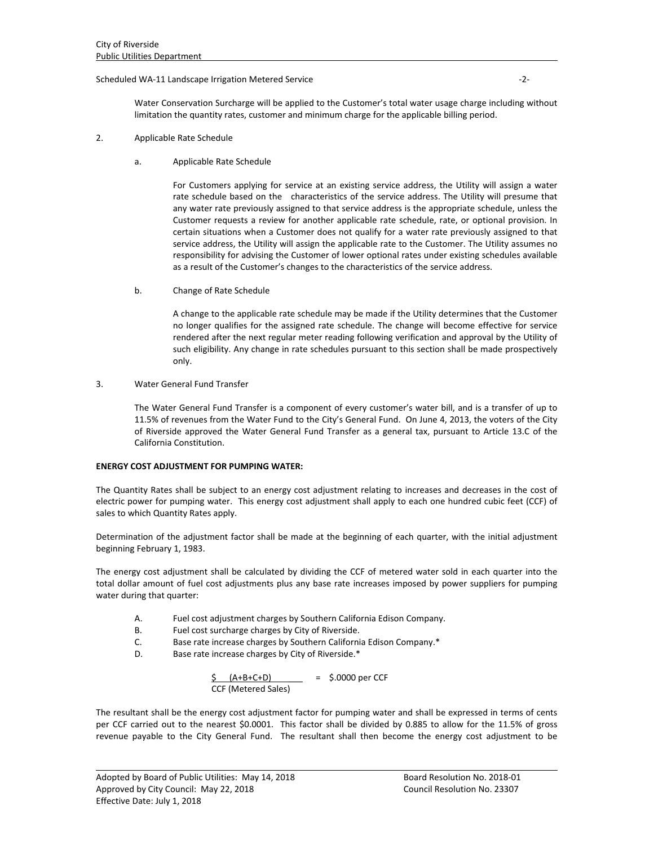## Scheduled WA‐11 Landscape Irrigation Metered Service ‐2‐

Water Conservation Surcharge will be applied to the Customer's total water usage charge including without limitation the quantity rates, customer and minimum charge for the applicable billing period.

- 2. Applicable Rate Schedule
	- a. Applicable Rate Schedule

For Customers applying for service at an existing service address, the Utility will assign a water rate schedule based on the characteristics of the service address. The Utility will presume that any water rate previously assigned to that service address is the appropriate schedule, unless the Customer requests a review for another applicable rate schedule, rate, or optional provision. In certain situations when a Customer does not qualify for a water rate previously assigned to that service address, the Utility will assign the applicable rate to the Customer. The Utility assumes no responsibility for advising the Customer of lower optional rates under existing schedules available as a result of the Customer's changes to the characteristics of the service address.

b. Change of Rate Schedule

A change to the applicable rate schedule may be made if the Utility determines that the Customer no longer qualifies for the assigned rate schedule. The change will become effective for service rendered after the next regular meter reading following verification and approval by the Utility of such eligibility. Any change in rate schedules pursuant to this section shall be made prospectively only.

# 3. Water General Fund Transfer

The Water General Fund Transfer is a component of every customer's water bill, and is a transfer of up to 11.5% of revenues from the Water Fund to the City's General Fund. On June 4, 2013, the voters of the City of Riverside approved the Water General Fund Transfer as a general tax, pursuant to Article 13.C of the California Constitution.

#### **ENERGY COST ADJUSTMENT FOR PUMPING WATER:**

The Quantity Rates shall be subject to an energy cost adjustment relating to increases and decreases in the cost of electric power for pumping water. This energy cost adjustment shall apply to each one hundred cubic feet (CCF) of sales to which Quantity Rates apply.

Determination of the adjustment factor shall be made at the beginning of each quarter, with the initial adjustment beginning February 1, 1983.

The energy cost adjustment shall be calculated by dividing the CCF of metered water sold in each quarter into the total dollar amount of fuel cost adjustments plus any base rate increases imposed by power suppliers for pumping water during that quarter:

- A. Fuel cost adjustment charges by Southern California Edison Company.
- B. Fuel cost surcharge charges by City of Riverside.
- C. Base rate increase charges by Southern California Edison Company.\*
- D. Base rate increase charges by City of Riverside.\*

$$
\frac{\text{S}}{\text{CCF (Metered Sales)}} = \text{S.0000 per CCF}
$$

The resultant shall be the energy cost adjustment factor for pumping water and shall be expressed in terms of cents per CCF carried out to the nearest \$0.0001. This factor shall be divided by 0.885 to allow for the 11.5% of gross revenue payable to the City General Fund. The resultant shall then become the energy cost adjustment to be

<u> 1989 - Johann Stoff, amerikansk politiker (d. 1989)</u>